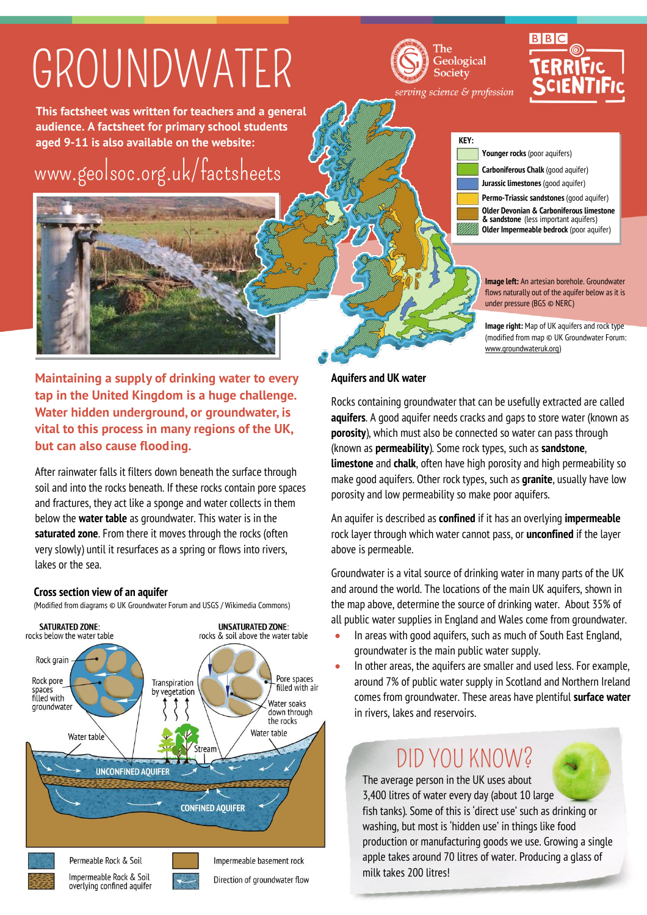## GROUNDWATER

The Geological Society serving science & profession

# **RIBIC**

**This factsheet was written for teachers and a general audience. A factsheet for primary school students aged 9-11 is also available on the website:**

## [www.geolsoc.org.uk/factsheets](http://www.geolsoc.org.uk/factsheets)



**Maintaining a supply of drinking water to every tap in the United Kingdom is a huge challenge. Water hidden underground, or groundwater, is vital to this process in many regions of the UK, but can also cause flooding.**

After rainwater falls it filters down beneath the surface through soil and into the rocks beneath. If these rocks contain pore spaces and fractures, they act like a sponge and water collects in them below the **water table** as groundwater. This water is in the **saturated zone**. From there it moves through the rocks (often very slowly) until it resurfaces as a spring or flows into rivers, lakes or the sea.

### **Cross section view of an aquifer**

(Modified from diagrams © UK Groundwater Forum and USGS / Wikimedia Commons)



| <b>KEY:</b> |                                                                                                                               |
|-------------|-------------------------------------------------------------------------------------------------------------------------------|
|             | <b>Younger rocks</b> (poor aquifers)                                                                                          |
|             | <b>Carboniferous Chalk</b> (good aquifer)                                                                                     |
|             | Jurassic limestones (good aquifer)                                                                                            |
|             | Permo-Triassic sandstones (good aquifer)                                                                                      |
|             | Older Devonian & Carboniferous limestone<br>& sandstone (less important aquifers)<br>Older Impermeable bedrock (poor aquifer) |

**Image left:** An artesian borehole. Groundwater flows naturally out of the aquifer below as it is under pressure (BGS © NERC)

**Image right:** Map of UK aquifers and rock type (modified from map © UK Groundwater Forum: [www.groundwateruk.org\)](http://www.groundwateruk.org/)

**Aquifers and UK water**

į

Rocks containing groundwater that can be usefully extracted are called **aquifers**. A good aquifer needs cracks and gaps to store water (known as **porosity**), which must also be connected so water can pass through (known as **permeability**). Some rock types, such as **sandstone**, **limestone** and **chalk**, often have high porosity and high permeability so make good aquifers. Other rock types, such as **granite**, usually have low porosity and low permeability so make poor aquifers.

An aquifer is described as **confined** if it has an overlying **impermeable** rock layer through which water cannot pass, or **unconfined** if the layer above is permeable.

Groundwater is a vital source of drinking water in many parts of the UK and around the world. The locations of the main UK aquifers, shown in the map above, determine the source of drinking water. About 35% of all public water supplies in England and Wales come from groundwater.

- In areas with good aquifers, such as much of South East England, groundwater is the main public water supply.
- In other areas, the aquifers are smaller and used less. For example, around 7% of public water supply in Scotland and Northern Ireland comes from groundwater. These areas have plentiful **surface water** in rivers, lakes and reservoirs.

### DID YOU KNOW?

The average person in the UK uses about 3,400 litres of water every day (about 10 large fish tanks). Some of this is 'direct use' such as drinking or washing, but most is 'hidden use' in things like food production or manufacturing goods we use. Growing a single apple takes around 70 litres of water. Producing a glass of milk takes 200 litres!